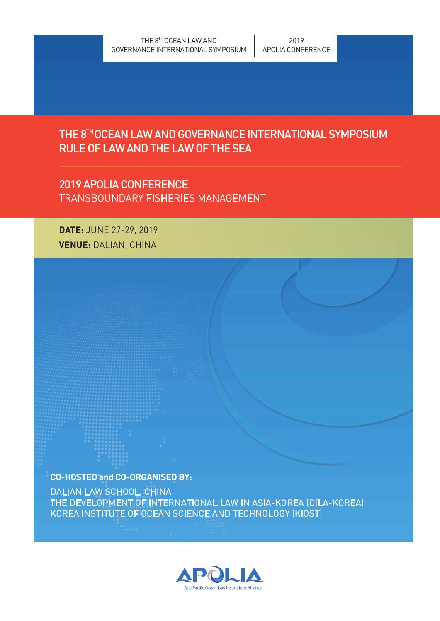### THE 8TH OCEAN LAW AND GOVERNANCE INTERNATIONAL SYMPOSIUM RULE OF LAW AND THE LAW OF THE SEA

### 2019 APOLIA CONFERENCE TRANSBOUNDARY FISHERIES MANAGEMENT

DATE: JUNE 27-29, 2019 VENUE: DALIAN, CHINA

CO-HOSTED and CO-ORGANISED BY:

DALIAN LAW SCHOOL, CHINA THE DEVELOPMENT OF INTERNATIONAL LAW IN ASIA-KOREA (DILA-KOREA) KOREA INSTITUTE OF OCEAN SCIENCE AND TECHNOLOGY (KIOST)

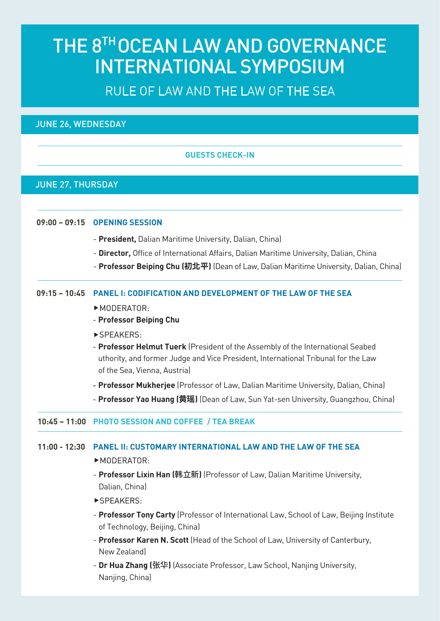# THE 8TH OCEAN LAW AND GOVERNANCE INTERNATIONAL SYMPOSIUM

## RULE OF LAW AND THE LAW OF THE SEA

JUNE 26, WEDNESDAY

#### GUESTS CHECK-IN

#### JUNE 27, THURSDAY

#### 09:00 – 09:15 OPENING SESSION

- President, Dalian Maritime University, Dalian, China)
- Director, Office of International Affairs, Dalian Maritime University, Dalian, China
- Professor Beiping Chu (**初北平**) (Dean of Law, Dalian Maritime University, Dalian, China)

#### 09:15 – 10:45 PANEL I: CODIFICATION AND DEVELOPMENT OF THE LAW OF THE SEA

#### ▶ MODERATOR:

- Professor Beiping Chu
- ▶SPEAKERS:
- Professor Helmut Tuerk (President of the Assembly of the International Seabed uthority, and former Judge and Vice President, International Tribunal for the Law of the Sea, Vienna, Austria)
- Professor Mukherjee (Professor of Law, Dalian Maritime University, Dalian, China)
- Professor Yao Huang (**黄瑶**) (Dean of Law, Sun Yat-sen University, Guangzhou, China)

#### 10:45 – 11:00 PHOTO SESSION AND COFFEE / TEA BREAK

#### 11:00 - 12:30 PANEL II: CUSTOMARY INTERNATIONAL LAW AND THE LAW OF THE SEA

#### $MODERATOR:$

- **Professor Lixin Han (韩立新)** (Professor of Law, Dalian Maritime University, Dalian, China)
- ▶SPEAKERS:
- Professor Tony Carty (Professor of International Law, School of Law, Beijing Institute of Technology, Beijing, China)
- Professor Karen N. Scott (Head of the School of Law, University of Canterbury, New Zealand)
- Dr Hua Zhang (张华) [Associate Professor, Law School, Nanjing University, Nanjing, China)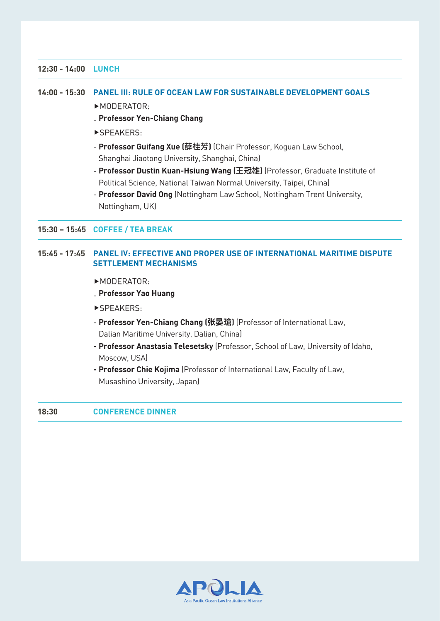#### 12:30 - 14:00 LUNCH

#### 14:00 - 15:30 PANEL III: RULE OF OCEAN LAW FOR SUSTAINABLE DEVELOPMENT GOALS

- ▶ MODERATOR:
- **\_ Professor Yen-Chiang Chang**
- ▶SPEAKERS:
- **Professor Guifang Xue (**薛桂芳) (Chair Professor, Koguan Law School, Shanghai Jiaotong University, Shanghai, China)
- Professor Dustin Kuan-Hsiung Wang (王冠雄) (Professor, Graduate Institute of Political Science, National Taiwan Normal University, Taipei, China)
- Professor David Ong (Nottingham Law School, Nottingham Trent University, Nottingham, UK)

#### 15:30 – 15:45 COFFEE / TEA BREAK

#### 15:45 - 17:45 PANEL IV: EFFECTIVE AND PROPER USE OF INTERNATIONAL MARITIME DISPUTE SETTLEMENT MECHANISMS

- $MODERATOR:$
- **\_ Professor Yao Huang**
- ▶SPEAKERS:
- Professor Yen-Chiang Chang (**张晏瑲**) (Professor of International Law, Dalian Maritime University, Dalian, China)
- Professor Anastasia Telesetsky (Professor, School of Law, University of Idaho, Moscow, USA)
- Professor Chie Kojima (Professor of International Law, Faculty of Law, Musashino University, Japan)

#### 18:30 CONFERENCE DINNER

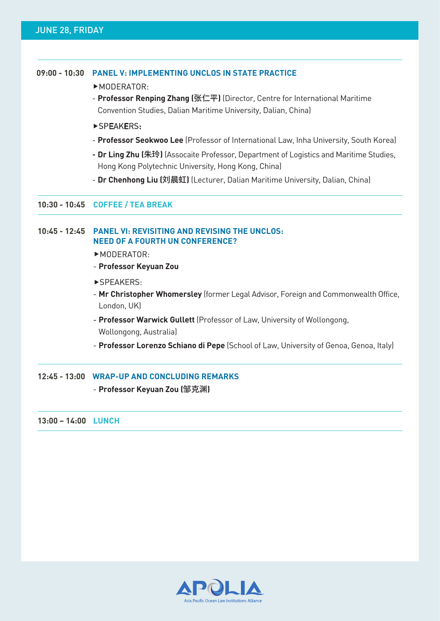#### JUNE 28, FRIDAY

#### 09:00 - 10:30 PANEL V: IMPLEMENTING UNCLOS IN STATE PRACTICE

#### ▶ MODERATOR:

- Professor Renping Zhang (张仁平) (Director, Centre for International Maritime Convention Studies, Dalian Maritime University, Dalian, China)

#### ▶SPEAKERS:

- Professor Seokwoo Lee (Professor of International Law, Inha University, South Korea)
- Dr Ling Zhu (朱玲) (Assocaite Professor, Department of Logistics and Maritime Studies, Hong Kong Polytechnic University, Hong Kong, China)
- Dr Chenhong Liu (刘晨虹) (Lecturer, Dalian Maritime University, Dalian, China)

#### 10:30 - 10:45 COFFEE / TEA BREAK

#### 10:45 - 12:45 PANEL VI: REVISITING AND REVISING THE UNCLOS: NEED OF A FOURTH UN CONFERENCE?

- ▶ MODERATOR:
- Professor Keyuan Zou
- ▶SPEAKERS:
- Mr Christopher Whomersley (former Legal Advisor, Foreign and Commonwealth Office, London, UK)
- Professor Warwick Gullett (Professor of Law, University of Wollongong, Wollongong, Australia)
- Professor Lorenzo Schiano di Pepe (School of Law, University of Genoa, Genoa, Italy)

#### 12:45 - 13:00 WRAP-UP AND CONCLUDING REMARKS

#### - Professor Keyuan Zou (邹克渊)

#### 13:00 – 14:00 LUNCH

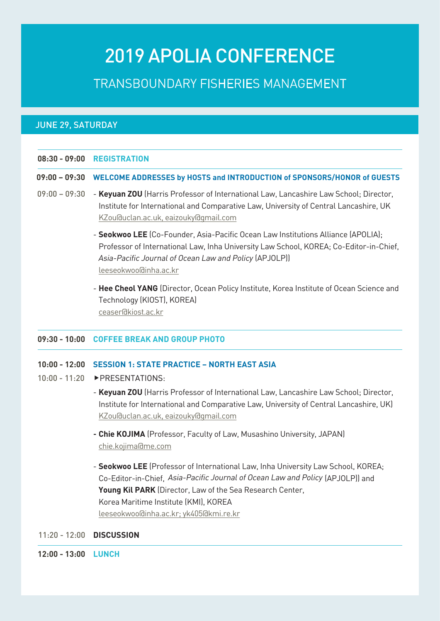# 2019 APOLIA CONFERENCE

TRANSBOUNDARY FISHERIES MANAGEMENT

#### JUNE 29, SATURDAY

|  | 08:30 - 09:00 REGISTRATION |  |
|--|----------------------------|--|
|--|----------------------------|--|

- 09:00 09:30 WELCOME ADDRESSES by HOSTS and INTRODUCTION of SPONSORS/HONOR of GUESTS
- 09:00 09:30  **Keyuan ZOU** (Harris Professor of International Law, Lancashire Law School; Director, Institute for International and Comparative Law, University of Central Lancashire, UK KZou@uclan.ac.uk, eaizouky@gmail.com
	- Seokwoo LEE (Co-Founder, Asia-Pacific Ocean Law Institutions Alliance (APOLIA); Professor of International Law, Inha University Law School, KOREA; Co-Editor-in-Chief, Asia-Pacific Journal of Ocean Law and Policy (APJOLP)) leeseokwoo@inha.ac.kr
	- Hee Cheol YANG (Director, Ocean Policy Institute, Korea Institute of Ocean Science and Technology (KIOST), KOREA) ceaser@kiost.ac.kr

#### 09:30 - 10:00 COFFEE BREAK AND GROUP PHOTO

#### 10:00 - 12:00 SESSION 1: STATE PRACTICE – NORTH EAST ASIA

- 10:00 11:20 ▶ PRESENTATIONS:
	- Keyuan ZOU (Harris Professor of International Law, Lancashire Law School; Director, Institute for International and Comparative Law, University of Central Lancashire, UK) KZou@uclan.ac.uk, eaizouky@gmail.com
	- Chie KOJIMA (Professor, Faculty of Law, Musashino University, JAPAN) chie.kojima@me.com
	- Co-Editor-in-Chief, Asia-Pacific Journal of Ocean Law and Policy (APJOLP)) and - Seokwoo LEE (Professor of International Law, Inha University Law School, KOREA; Young Kil PARK (Director, Law of the Sea Research Center, Korea Maritime Institute (KMI), KOREA leeseokwoo@inha.ac.kr; yk405@kmi.re.kr

#### 11:20 - 12:00 DISCUSSION

12:00 - 13:00 LUNCH